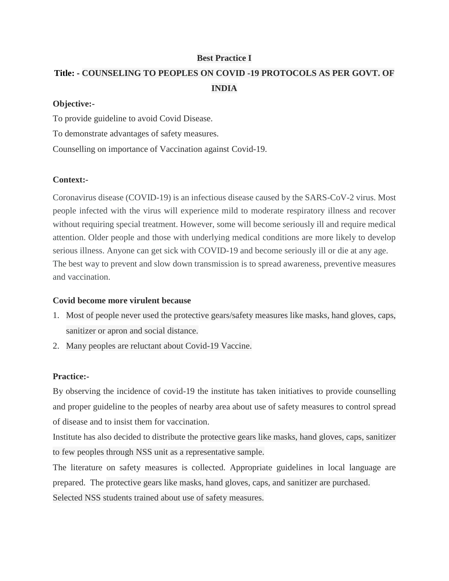## **Best Practice I**

# **Title: - COUNSELING TO PEOPLES ON COVID -19 PROTOCOLS AS PER GOVT. OF INDIA**

#### **Objective:-**

To provide guideline to avoid Covid Disease.

To demonstrate advantages of safety measures.

Counselling on importance of Vaccination against Covid-19.

## **Context:-**

Coronavirus disease (COVID-19) is an infectious disease caused by the SARS-CoV-2 virus. Most people infected with the virus will experience mild to moderate respiratory illness and recover without requiring special treatment. However, some will become seriously ill and require medical attention. Older people and those with underlying medical conditions are more likely to develop serious illness. Anyone can get sick with COVID-19 and become seriously ill or die at any age. The best way to prevent and slow down transmission is to spread awareness, preventive measures and vaccination.

## **Covid become more virulent because**

- 1. Most of people never used the protective gears/safety measures like masks, hand gloves, caps, sanitizer or apron and social distance.
- 2. Many peoples are reluctant about Covid-19 Vaccine.

## **Practice:-**

By observing the incidence of covid-19 the institute has taken initiatives to provide counselling and proper guideline to the peoples of nearby area about use of safety measures to control spread of disease and to insist them for vaccination.

Institute has also decided to distribute the protective gears like masks, hand gloves, caps, sanitizer to few peoples through NSS unit as a representative sample.

The literature on safety measures is collected. Appropriate guidelines in local language are prepared. The protective gears like masks, hand gloves, caps, and sanitizer are purchased. Selected NSS students trained about use of safety measures.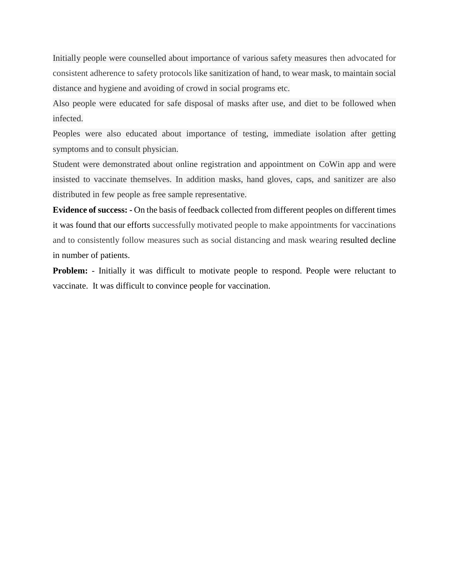Initially people were counselled about importance of various safety measures then advocated for consistent adherence to safety protocols like sanitization of hand, to wear mask, to maintain social distance and hygiene and avoiding of crowd in social programs etc.

Also people were educated for safe disposal of masks after use, and diet to be followed when infected.

Peoples were also educated about importance of testing, immediate isolation after getting symptoms and to consult physician.

Student were demonstrated about online registration and appointment on CoWin app and were insisted to vaccinate themselves. In addition masks, hand gloves, caps, and sanitizer are also distributed in few people as free sample representative.

**Evidence of success: -** On the basis of feedback collected from different peoples on different times it was found that our efforts successfully motivated people to make appointments for vaccinations and to consistently follow measures such as social distancing and mask wearing resulted decline in number of patients.

**Problem:** - Initially it was difficult to motivate people to respond. People were reluctant to vaccinate. It was difficult to convince people for vaccination.